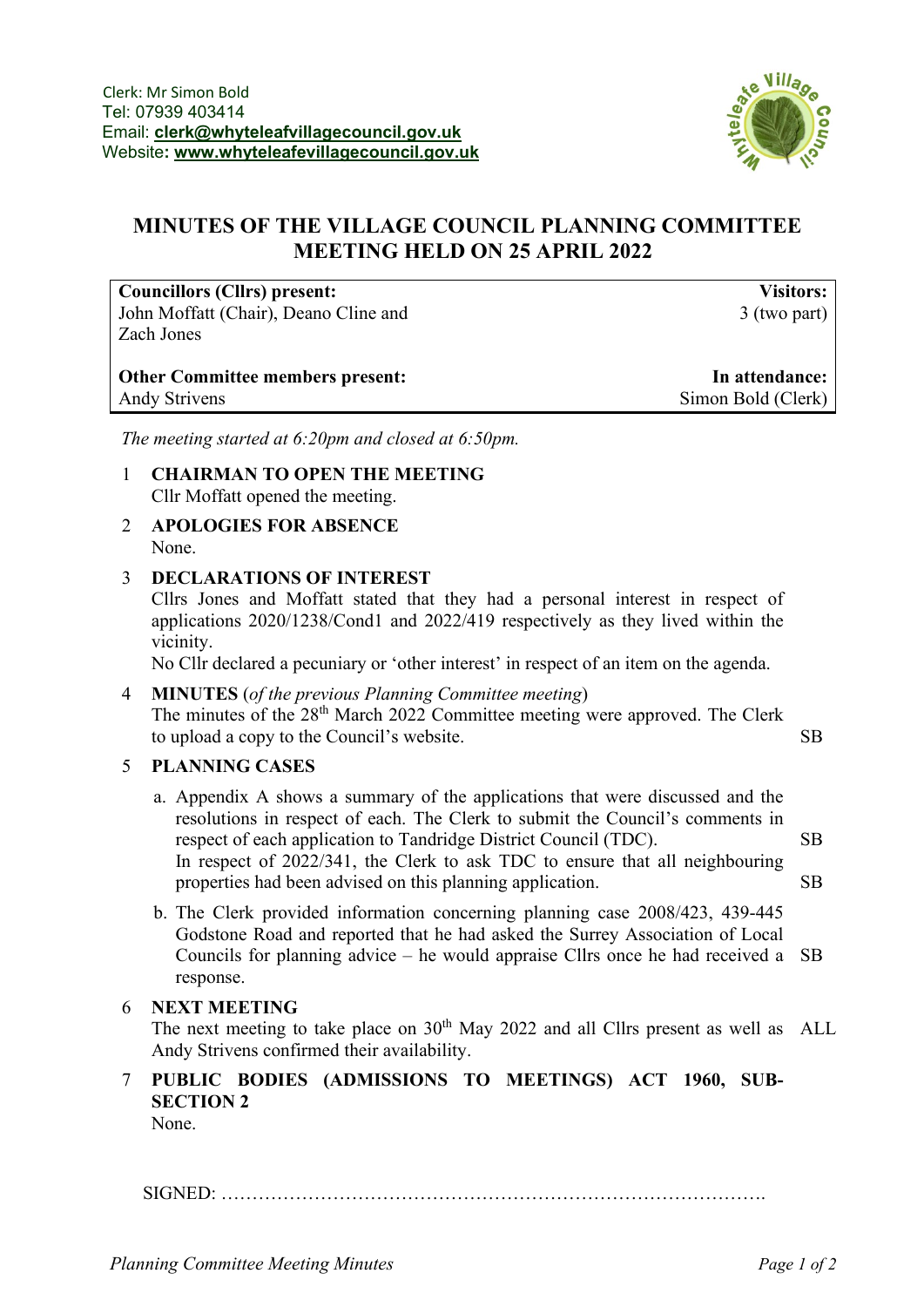

## **MINUTES OF THE VILLAGE COUNCIL PLANNING COMMITTEE MEETING HELD ON 25 APRIL 2022**

**Councillors (Cllrs) present:** John Moffatt (Chair), Deano Cline and Zach Jones

**Visitors:** 3 (two part)

| <b>Other Committee members present:</b> | In attendance:     |
|-----------------------------------------|--------------------|
| <b>Andy Strivens</b>                    | Simon Bold (Clerk) |

*The meeting started at 6:20pm and closed at 6:50pm.*

- 1 **CHAIRMAN TO OPEN THE MEETING** Cllr Moffatt opened the meeting.
- 2 **APOLOGIES FOR ABSENCE** None.
- 3 **DECLARATIONS OF INTEREST**

Cllrs Jones and Moffatt stated that they had a personal interest in respect of applications 2020/1238/Cond1 and 2022/419 respectively as they lived within the vicinity.

No Cllr declared a pecuniary or 'other interest' in respect of an item on the agenda.

- 4 **MINUTES** (*of the previous Planning Committee meeting*) The minutes of the 28<sup>th</sup> March 2022 Committee meeting were approved. The Clerk to upload a copy to the Council's website. SB
- 5 **PLANNING CASES**
	- a. Appendix A shows a summary of the applications that were discussed and the resolutions in respect of each. The Clerk to submit the Council's comments in respect of each application to Tandridge District Council (TDC). In respect of 2022/341, the Clerk to ask TDC to ensure that all neighbouring properties had been advised on this planning application. SB SB
	- b. The Clerk provided information concerning planning case 2008/423, 439-445 Godstone Road and reported that he had asked the Surrey Association of Local Councils for planning advice – he would appraise Cllrs once he had received a SB response.

#### 6 **NEXT MEETING**

The next meeting to take place on  $30<sup>th</sup>$  May 2022 and all Cllrs present as well as ALL Andy Strivens confirmed their availability.

# 7 **PUBLIC BODIES (ADMISSIONS TO MEETINGS) ACT 1960, SUB-SECTION 2**

None.

SIGNED: …………………………………………………………………………….